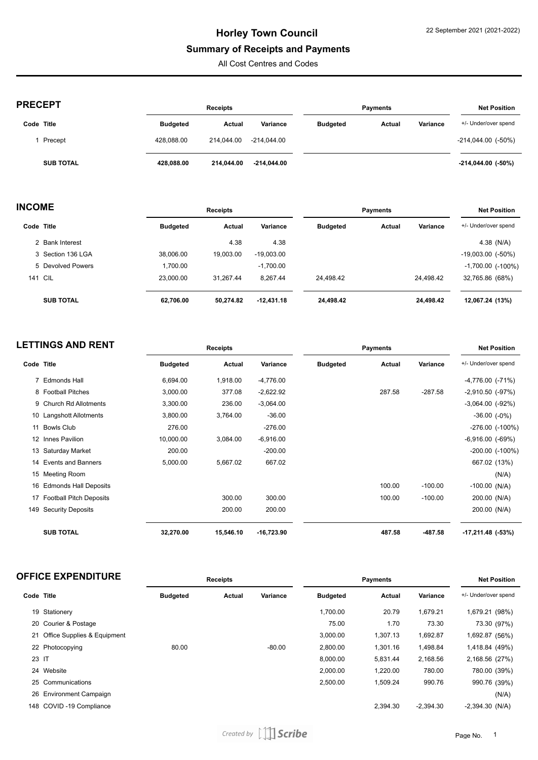## **Summary of Receipts and Payments**

All Cost Centres and Codes

| <b>PRECEPT</b>   |                 | <b>Receipts</b> |             |                 | Payments      |          | <b>Net Position</b>       |
|------------------|-----------------|-----------------|-------------|-----------------|---------------|----------|---------------------------|
| Code Title       | <b>Budgeted</b> | Actual          | Variance    | <b>Budgeted</b> | <b>Actual</b> | Variance | +/- Under/over spend      |
| Precept          | 428.088.00      | 214.044.00      | -214.044.00 |                 |               |          | $-214,044.00$ ( $-50\%$ ) |
| <b>SUB TOTAL</b> | 428,088.00      | 214.044.00      | -214.044.00 |                 |               |          | $-214,044.00$ ( $-50\%$ ) |

| <b>INCOME</b> |                   |                 | <b>Receipts</b> |              | <b>Payments</b> |        |           | <b>Net Position</b>      |  |  |
|---------------|-------------------|-----------------|-----------------|--------------|-----------------|--------|-----------|--------------------------|--|--|
| Code Title    |                   | <b>Budgeted</b> | Actual          | Variance     | <b>Budgeted</b> | Actual | Variance  | +/- Under/over spend     |  |  |
|               | 2 Bank Interest   |                 | 4.38            | 4.38         |                 |        |           | 4.38 $(N/A)$             |  |  |
|               | 3 Section 136 LGA | 38.006.00       | 19,003.00       | $-19.003.00$ |                 |        |           | $-19,003.00$ $(-50\%)$   |  |  |
|               | 5 Devolved Powers | 1.700.00        |                 | $-1,700.00$  |                 |        |           | $-1,700.00$ ( $-100\%$ ) |  |  |
|               | <b>141 CIL</b>    | 23.000.00       | 31.267.44       | 8.267.44     | 24.498.42       |        | 24.498.42 | 32,765.86 (68%)          |  |  |
|               | <b>SUB TOTAL</b>  | 62.706.00       | 50.274.82       | $-12,431.18$ | 24,498.42       |        | 24,498.42 | 12,067.24 (13%)          |  |  |

| <b>LETTINGS AND RENT</b> |                            |                 | <b>Receipts</b> |              | <b>Payments</b> |        |           | <b>Net Position</b>      |
|--------------------------|----------------------------|-----------------|-----------------|--------------|-----------------|--------|-----------|--------------------------|
| Code Title               |                            | <b>Budgeted</b> | Actual          | Variance     | <b>Budgeted</b> | Actual | Variance  | +/- Under/over spend     |
|                          | 7 Edmonds Hall             | 6,694.00        | 1,918.00        | $-4,776.00$  |                 |        |           | $-4,776.00$ $(-71%)$     |
|                          | 8 Football Pitches         | 3,000.00        | 377.08          | $-2,622.92$  |                 | 287.58 | $-287.58$ | $-2,910.50$ ( $-97\%$ )  |
|                          | 9 Church Rd Allotments     | 3,300.00        | 236.00          | $-3,064.00$  |                 |        |           | $-3,064.00$ $(-92%)$     |
|                          | 10 Langshott Allotments    | 3,800.00        | 3,764.00        | $-36.00$     |                 |        |           | $-36.00$ $(-0\%)$        |
|                          | 11 Bowls Club              | 276.00          |                 | $-276.00$    |                 |        |           | $-276.00$ $(-100\%)$     |
| 12                       | Innes Pavilion             | 10,000.00       | 3,084.00        | $-6,916.00$  |                 |        |           | $-6,916.00$ $(-69%)$     |
|                          | 13 Saturday Market         | 200.00          |                 | $-200.00$    |                 |        |           | $-200.00$ $(-100\%)$     |
|                          | 14 Events and Banners      | 5,000.00        | 5,667.02        | 667.02       |                 |        |           | 667.02 (13%)             |
|                          | 15 Meeting Room            |                 |                 |              |                 |        |           | (N/A)                    |
|                          | 16 Edmonds Hall Deposits   |                 |                 |              |                 | 100.00 | $-100.00$ | $-100.00$ (N/A)          |
|                          | 17 Football Pitch Deposits |                 | 300.00          | 300.00       |                 | 100.00 | $-100.00$ | 200.00 (N/A)             |
| 149                      | <b>Security Deposits</b>   |                 | 200.00          | 200.00       |                 |        |           | 200.00 (N/A)             |
|                          | <b>SUB TOTAL</b>           | 32,270.00       | 15,546.10       | $-16,723.90$ |                 | 487.58 | -487.58   | $-17,211.48$ ( $-53\%$ ) |

| <b>OFFICE EXPENDITURE</b> | Receipts | Pavments | <b>Net Position</b> |
|---------------------------|----------|----------|---------------------|
|                           |          |          |                     |

| Code Title |                                | <b>Budgeted</b> | Actual | Variance | <b>Budgeted</b> | Actual   | Variance    | +/- Under/over spend |
|------------|--------------------------------|-----------------|--------|----------|-----------------|----------|-------------|----------------------|
|            | 19 Stationery                  |                 |        |          | 1,700.00        | 20.79    | 1,679.21    | 1,679.21 (98%)       |
|            | 20 Courier & Postage           |                 |        |          | 75.00           | 1.70     | 73.30       | 73.30 (97%)          |
|            | 21 Office Supplies & Equipment |                 |        |          | 3,000.00        | 1,307.13 | 1,692.87    | 1,692.87 (56%)       |
|            | 22 Photocopying                | 80.00           |        | $-80.00$ | 2.800.00        | 1,301.16 | 1,498.84    | 1,418.84 (49%)       |
| 23 IT      |                                |                 |        |          | 8.000.00        | 5,831.44 | 2,168.56    | 2,168.56 (27%)       |
|            | 24 Website                     |                 |        |          | 2,000.00        | 1,220.00 | 780.00      | 780.00 (39%)         |
|            | 25 Communications              |                 |        |          | 2,500.00        | 1,509.24 | 990.76      | 990.76 (39%)         |
|            | 26 Environment Campaign        |                 |        |          |                 |          |             | (N/A)                |
|            | 148 COVID-19 Compliance        |                 |        |          |                 | 2,394.30 | $-2.394.30$ | $-2,394.30$ (N/A)    |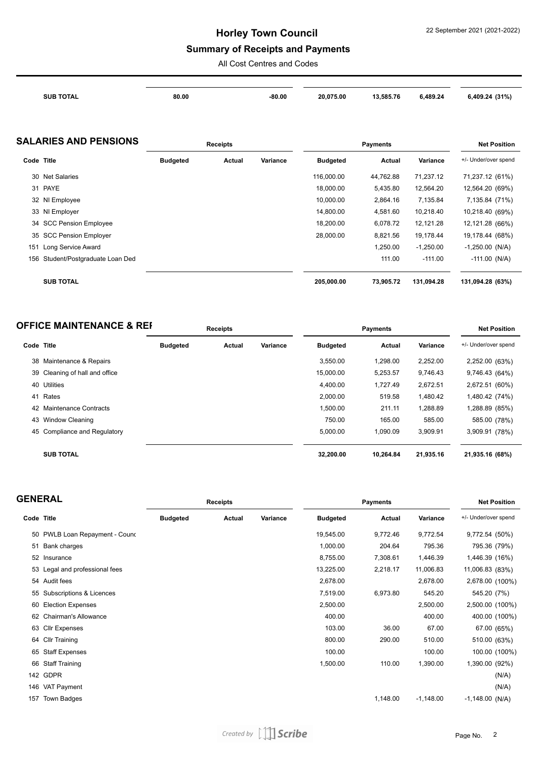### **Summary of Receipts and Payments**

All Cost Centres and Codes

| <b>SUB TOTAL</b> | 80.00 | -80.00 | 20,075.00 | 13,585.76 | 6,489.24 | 6,409.24 (31%) |
|------------------|-------|--------|-----------|-----------|----------|----------------|
|                  |       |        |           |           |          |                |
|                  |       |        |           |           |          |                |

### **SALARIES AND PENSIONS Receipts Payments Net Position**

|                    |                                                                                                                                                                         |        |          | .               |           |             |                      |
|--------------------|-------------------------------------------------------------------------------------------------------------------------------------------------------------------------|--------|----------|-----------------|-----------|-------------|----------------------|
|                    | <b>Budgeted</b>                                                                                                                                                         | Actual | Variance | <b>Budgeted</b> | Actual    | Variance    | +/- Under/over spend |
|                    |                                                                                                                                                                         |        |          | 116,000.00      | 44.762.88 | 71,237.12   | 71,237.12 (61%)      |
|                    |                                                                                                                                                                         |        |          | 18.000.00       | 5,435.80  | 12,564.20   | 12,564.20 (69%)      |
|                    |                                                                                                                                                                         |        |          | 10,000.00       | 2,864.16  | 7,135.84    | 7,135.84 (71%)       |
|                    |                                                                                                                                                                         |        |          | 14,800.00       | 4,581.60  | 10,218.40   | 10,218.40 (69%)      |
|                    |                                                                                                                                                                         |        |          | 18,200.00       | 6,078.72  | 12,121.28   | 12,121.28 (66%)      |
|                    |                                                                                                                                                                         |        |          | 28,000.00       | 8,821.56  | 19,178.44   | 19,178.44 (68%)      |
| Long Service Award |                                                                                                                                                                         |        |          |                 | 1,250.00  | $-1,250.00$ | $-1,250.00$ (N/A)    |
|                    |                                                                                                                                                                         |        |          |                 | 111.00    | $-111.00$   | $-111.00$ (N/A)      |
|                    |                                                                                                                                                                         |        |          |                 |           |             |                      |
| <b>SUB TOTAL</b>   |                                                                                                                                                                         |        |          | 205,000.00      | 73,905.72 | 131,094.28  | 131,094.28 (63%)     |
| 151                | Code Title<br>30 Net Salaries<br>31 PAYE<br>32 NI Employee<br>33 NI Employer<br>34 SCC Pension Employee<br>35 SCC Pension Employer<br>156 Student/Postgraduate Loan Ded |        |          | .               |           |             |                      |

| <b>OFFICE MAINTENANCE &amp; REF</b> | <b>Receipts</b> | Pavments | <b>Net Position</b> |
|-------------------------------------|-----------------|----------|---------------------|
|                                     |                 |          |                     |

| Code Title |                                | <b>Budgeted</b> | Actual | Variance | <b>Budgeted</b> | Actual    | Variance  | +/- Under/over spend |
|------------|--------------------------------|-----------------|--------|----------|-----------------|-----------|-----------|----------------------|
|            | 38 Maintenance & Repairs       |                 |        |          | 3.550.00        | 1.298.00  | 2,252.00  | 2,252.00 (63%)       |
|            | 39 Cleaning of hall and office |                 |        |          | 15.000.00       | 5.253.57  | 9.746.43  | 9,746.43 (64%)       |
|            | 40 Utilities                   |                 |        |          | 4.400.00        | 1.727.49  | 2,672.51  | 2,672.51 (60%)       |
| 41         | Rates                          |                 |        |          | 2,000.00        | 519.58    | 1,480.42  | 1,480.42 (74%)       |
|            | 42 Maintenance Contracts       |                 |        |          | 1,500.00        | 211.11    | 1,288.89  | 1,288.89 (85%)       |
|            | 43 Window Cleaning             |                 |        |          | 750.00          | 165.00    | 585.00    | 585.00 (78%)         |
|            | 45 Compliance and Regulatory   |                 |        |          | 5,000.00        | 1.090.09  | 3,909.91  | 3,909.91 (78%)       |
|            | <b>SUB TOTAL</b>               |                 |        |          | 32,200.00       | 10.264.84 | 21,935.16 | 21,935.16 (68%)      |

| <b>GENERAL</b> |                                |                 | <b>Receipts</b> |          | <b>Payments</b> |          |             | <b>Net Position</b>  |  |
|----------------|--------------------------------|-----------------|-----------------|----------|-----------------|----------|-------------|----------------------|--|
| Code Title     |                                | <b>Budgeted</b> | Actual          | Variance | <b>Budgeted</b> | Actual   | Variance    | +/- Under/over spend |  |
|                | 50 PWLB Loan Repayment - Cound |                 |                 |          | 19,545.00       | 9,772.46 | 9,772.54    | 9,772.54 (50%)       |  |
|                | 51 Bank charges                |                 |                 |          | 1,000.00        | 204.64   | 795.36      | 795.36 (79%)         |  |
|                | 52 Insurance                   |                 |                 |          | 8,755.00        | 7,308.61 | 1,446.39    | 1,446.39 (16%)       |  |
|                | 53 Legal and professional fees |                 |                 |          | 13,225.00       | 2,218.17 | 11,006.83   | 11,006.83 (83%)      |  |
|                | 54 Audit fees                  |                 |                 |          | 2,678.00        |          | 2,678.00    | 2,678.00 (100%)      |  |
|                | 55 Subscriptions & Licences    |                 |                 |          | 7,519.00        | 6,973.80 | 545.20      | 545.20 (7%)          |  |
| 60             | <b>Election Expenses</b>       |                 |                 |          | 2,500.00        |          | 2,500.00    | 2,500.00 (100%)      |  |
|                | 62 Chairman's Allowance        |                 |                 |          | 400.00          |          | 400.00      | 400.00 (100%)        |  |
|                | 63 Cllr Expenses               |                 |                 |          | 103.00          | 36.00    | 67.00       | 67.00 (65%)          |  |
|                | 64 Cllr Training               |                 |                 |          | 800.00          | 290.00   | 510.00      | 510.00 (63%)         |  |
|                | 65 Staff Expenses              |                 |                 |          | 100.00          |          | 100.00      | 100.00 (100%)        |  |
|                | 66 Staff Training              |                 |                 |          | 1,500.00        | 110.00   | 1,390.00    | 1,390.00 (92%)       |  |
|                | 142 GDPR                       |                 |                 |          |                 |          |             | (N/A)                |  |
|                | 146 VAT Payment                |                 |                 |          |                 |          |             | (N/A)                |  |
| 157            | Town Badges                    |                 |                 |          |                 | 1,148.00 | $-1,148.00$ | $-1,148.00$ (N/A)    |  |
|                |                                |                 |                 |          |                 |          |             |                      |  |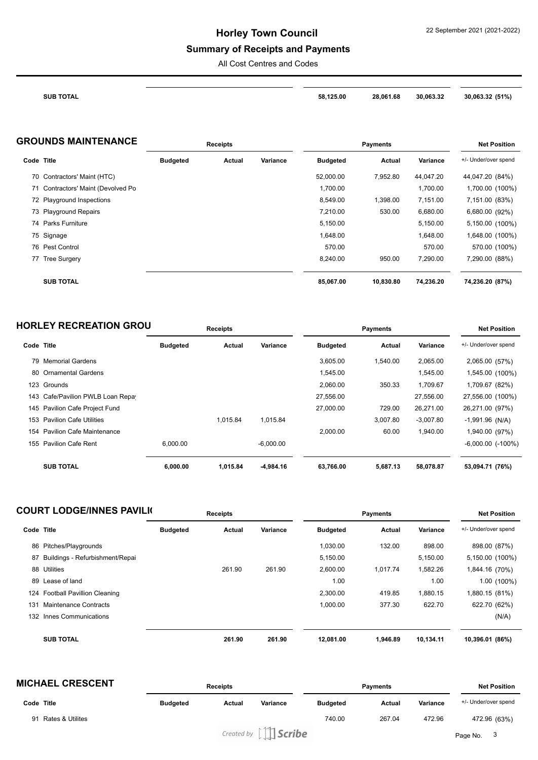# **Summary of Receipts and Payments**

All Cost Centres and Codes

| <b>TOTAL</b><br>SUB | 125.00<br>58 | 28.061.68 | 30.063.32 | (51%)<br>30.063.32<br>. |
|---------------------|--------------|-----------|-----------|-------------------------|

| <b>GROUNDS MAINTENANCE</b> | <b>Receipts</b> | Pavments | <b>Net Position</b> |
|----------------------------|-----------------|----------|---------------------|
|                            |                 |          |                     |

| Code Title |                                    | <b>Budgeted</b> | Actual | Variance | <b>Budgeted</b> | <b>Actual</b> | Variance  | +/- Under/over spend |
|------------|------------------------------------|-----------------|--------|----------|-----------------|---------------|-----------|----------------------|
|            | 70 Contractors' Maint (HTC)        |                 |        |          | 52,000.00       | 7,952.80      | 44,047.20 | 44,047.20 (84%)      |
|            | 71 Contractors' Maint (Devolved Po |                 |        |          | 1,700.00        |               | 1,700.00  | 1,700.00 (100%)      |
|            | 72 Playground Inspections          |                 |        |          | 8,549.00        | 1.398.00      | 7,151.00  | 7,151.00 (83%)       |
|            | 73 Playground Repairs              |                 |        |          | 7,210.00        | 530.00        | 6,680.00  | 6,680.00 (92%)       |
|            | 74 Parks Furniture                 |                 |        |          | 5,150.00        |               | 5,150.00  | 5,150.00 (100%)      |
|            | 75 Signage                         |                 |        |          | 1.648.00        |               | 1,648.00  | 1,648.00 (100%)      |
|            | 76 Pest Control                    |                 |        |          | 570.00          |               | 570.00    | 570.00 (100%)        |
|            | 77 Tree Surgery                    |                 |        |          | 8,240.00        | 950.00        | 7,290.00  | 7,290.00 (88%)       |
|            | <b>SUB TOTAL</b>                   |                 |        |          | 85,067.00       | 10,830.80     | 74,236.20 | 74,236.20 (87%)      |

| <b>HORLEY RECREATION GROU</b> | <b>Receipts</b> | Pavments | <b>Net Position</b> |
|-------------------------------|-----------------|----------|---------------------|
|                               |                 |          |                     |

|            |                                   |                 |          |             | .               |          |             |                        |
|------------|-----------------------------------|-----------------|----------|-------------|-----------------|----------|-------------|------------------------|
| Code Title |                                   | <b>Budgeted</b> | Actual   | Variance    | <b>Budgeted</b> | Actual   | Variance    | +/- Under/over spend   |
|            | 79 Memorial Gardens               |                 |          |             | 3,605.00        | 1.540.00 | 2,065.00    | 2,065.00 (57%)         |
|            | 80 Ornamental Gardens             |                 |          |             | 1,545.00        |          | 1,545.00    | 1,545.00 (100%)        |
|            | 123 Grounds                       |                 |          |             | 2,060.00        | 350.33   | 1,709.67    | 1,709.67 (82%)         |
|            | 143 Cafe/Pavilion PWLB Loan Repay |                 |          |             | 27,556.00       |          | 27,556.00   | 27,556.00 (100%)       |
|            | 145 Pavilion Cafe Project Fund    |                 |          |             | 27,000.00       | 729.00   | 26,271.00   | 26,271.00 (97%)        |
|            | 153 Pavilion Cafe Utilities       |                 | 1.015.84 | 1.015.84    |                 | 3,007.80 | $-3,007.80$ | $-1,991.96$ (N/A)      |
| 154        | <b>Pavilion Cafe Maintenance</b>  |                 |          |             | 2,000.00        | 60.00    | 1,940.00    | 1,940.00 (97%)         |
|            | 155 Pavilion Cafe Rent            | 6.000.00        |          | $-6.000.00$ |                 |          |             | $-6,000.00$ $(-100\%)$ |
|            | <b>SUB TOTAL</b>                  | 6,000.00        | 1,015.84 | -4,984.16   | 63,766.00       | 5,687.13 | 58,078.87   | 53,094.71 (76%)        |

|            | <b>COURT LODGE/INNES PAVILK</b> |                 | Receipts |          |                 | <b>Payments</b> |           | <b>Net Position</b>  |
|------------|---------------------------------|-----------------|----------|----------|-----------------|-----------------|-----------|----------------------|
| Code Title |                                 | <b>Budgeted</b> | Actual   | Variance | <b>Budgeted</b> | Actual          | Variance  | +/- Under/over spend |
|            | 86 Pitches/Playgrounds          |                 |          |          | 1.030.00        | 132.00          | 898.00    | 898.00 (87%)         |
| 87         | Buildings - Refurbishment/Repai |                 |          |          | 5,150.00        |                 | 5,150.00  | 5,150.00 (100%)      |
| 88         | Utilities                       |                 | 261.90   | 261.90   | 2.600.00        | 1.017.74        | 1,582.26  | 1,844.16 (70%)       |
| 89         | Lease of land                   |                 |          |          | 1.00            |                 | 1.00      | $1.00(100\%)$        |
|            | 124 Football Pavillion Cleaning |                 |          |          | 2,300.00        | 419.85          | 1,880.15  | 1,880.15 (81%)       |
| 131        | Maintenance Contracts           |                 |          |          | 1.000.00        | 377.30          | 622.70    | 622.70 (62%)         |
| 132        | Innes Communications            |                 |          |          |                 |                 |           | (N/A)                |
|            | <b>SUB TOTAL</b>                |                 | 261.90   | 261.90   | 12,081.00       | 1,946.89        | 10,134.11 | 10,396.01 (86%)      |

| <b>MICHAEL CRESCENT</b>           |                 | Receipts |                                                                |                 | <b>Payments</b> |          | <b>Net Position</b>  |
|-----------------------------------|-----------------|----------|----------------------------------------------------------------|-----------------|-----------------|----------|----------------------|
| Code Title                        | <b>Budgeted</b> | Actual   | Variance                                                       | <b>Budgeted</b> | <b>Actual</b>   | Variance | +/- Under/over spend |
| <b>Rates &amp; Utilites</b><br>91 |                 |          |                                                                | 740.00          | 267.04          | 472.96   | 472.96 (63%)         |
|                                   |                 |          | Created by $\left[\begin{array}{c c}\end{array}\right]$ Scribe |                 |                 |          | Page No.             |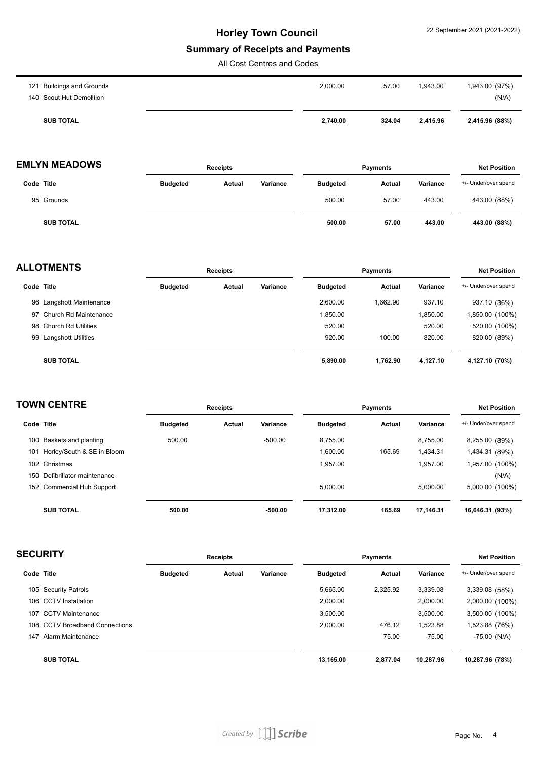### **Summary of Receipts and Payments**

All Cost Centres and Codes

| 140 Scout Hut Demolition  |                   |          | (N/A)          |
|---------------------------|-------------------|----------|----------------|
| 121 Buildings and Grounds | 2,000.00<br>57.00 | 1,943.00 | 1,943.00 (97%) |

## **EMLYN MEADOWS Receipts Payments Net Position**

|                  |                 | --------- |          |                 | ---------- | .        |                      |
|------------------|-----------------|-----------|----------|-----------------|------------|----------|----------------------|
| Code Title       | <b>Budgeted</b> | Actual    | Variance | <b>Budgeted</b> | Actual     | Variance | +/- Under/over spend |
| 95 Grounds       |                 |           |          | 500.00          | 57.00      | 443.00   | 443.00 (88%)         |
| <b>SUB TOTAL</b> |                 |           |          | 500.00          | 57.00      | 443.00   | 443.00 (88%)         |

| <b>ALLOTMENTS</b> |                          |                 | <b>Receipts</b> |          |                 | <b>Payments</b> |          |                      |
|-------------------|--------------------------|-----------------|-----------------|----------|-----------------|-----------------|----------|----------------------|
| Code Title        |                          | <b>Budgeted</b> | Actual          | Variance | <b>Budgeted</b> | Actual          | Variance | +/- Under/over spend |
|                   | 96 Langshott Maintenance |                 |                 |          | 2.600.00        | 1.662.90        | 937.10   | 937.10 (36%)         |
|                   | 97 Church Rd Maintenance |                 |                 |          | 1.850.00        |                 | 1,850.00 | 1,850.00 (100%)      |
|                   | 98 Church Rd Utilities   |                 |                 |          | 520.00          |                 | 520.00   | 520.00 (100%)        |
|                   | 99 Langshott Utilities   |                 |                 |          | 920.00          | 100.00          | 820.00   | 820.00 (89%)         |
|                   | <b>SUB TOTAL</b>         |                 |                 |          | 5,890.00        | 1,762.90        | 4,127.10 | 4,127.10 (70%)       |

|     | <b>TOWN CENTRE</b>            |                 | <b>Receipts</b> |           |                 | <b>Payments</b> |           | <b>Net Position</b>  |
|-----|-------------------------------|-----------------|-----------------|-----------|-----------------|-----------------|-----------|----------------------|
|     | Code Title                    | <b>Budgeted</b> | Actual          | Variance  | <b>Budgeted</b> | Actual          | Variance  | +/- Under/over spend |
|     | 100 Baskets and planting      | 500.00          |                 | $-500.00$ | 8.755.00        |                 | 8.755.00  | 8,255.00 (89%)       |
| 101 | Horley/South & SE in Bloom    |                 |                 |           | 1.600.00        | 165.69          | 1.434.31  | 1,434.31 (89%)       |
|     | 102 Christmas                 |                 |                 |           | 1.957.00        |                 | 1.957.00  | 1,957.00 (100%)      |
|     | 150 Defibrillator maintenance |                 |                 |           |                 |                 |           | (N/A)                |
|     | 152 Commercial Hub Support    |                 |                 |           | 5.000.00        |                 | 5.000.00  | 5,000.00 (100%)      |
|     | <b>SUB TOTAL</b>              | 500.00          |                 | $-500.00$ | 17.312.00       | 165.69          | 17.146.31 | 16,646.31 (93%)      |

| <b>SECURITY</b> |                                | Receipts        |        |          | <b>Payments</b> |          |           | <b>Net Position</b>  |  |
|-----------------|--------------------------------|-----------------|--------|----------|-----------------|----------|-----------|----------------------|--|
| Code Title      |                                | <b>Budgeted</b> | Actual | Variance | <b>Budgeted</b> | Actual   | Variance  | +/- Under/over spend |  |
|                 | 105 Security Patrols           |                 |        |          | 5,665.00        | 2,325.92 | 3,339.08  | 3,339.08 (58%)       |  |
|                 | 106 CCTV Installation          |                 |        |          | 2,000.00        |          | 2,000.00  | 2,000.00 (100%)      |  |
| 107             | <b>CCTV Maintenance</b>        |                 |        |          | 3,500.00        |          | 3,500.00  | 3,500.00 (100%)      |  |
|                 | 108 CCTV Broadband Connections |                 |        |          | 2,000.00        | 476.12   | 1,523.88  | 1,523.88 (76%)       |  |
| 147             | Alarm Maintenance              |                 |        |          |                 | 75.00    | $-75.00$  | $-75.00$ (N/A)       |  |
|                 | <b>SUB TOTAL</b>               |                 |        |          | 13.165.00       | 2.877.04 | 10.287.96 | 10,287.96 (78%)      |  |